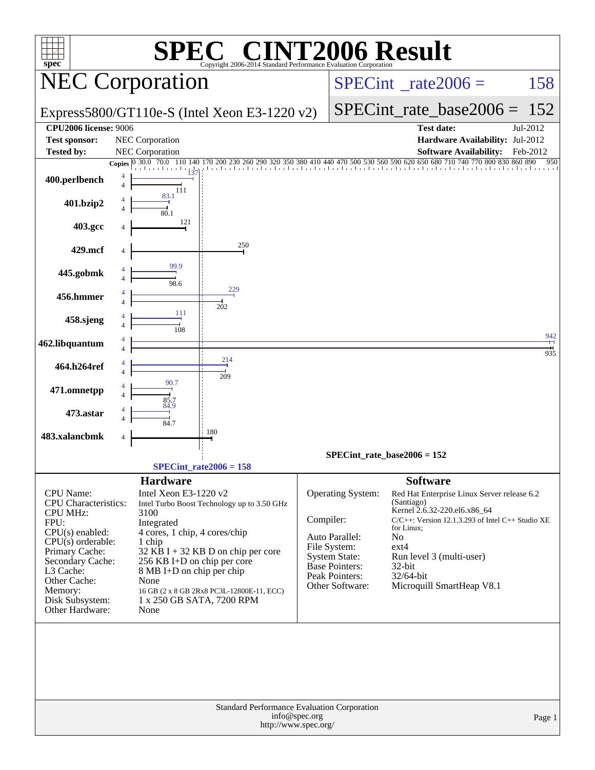| <b>NT2006 Result</b><br>$\blacksquare$                                                                                                                                                                                       |                                                                                                                                                                                                                                                                                                                                                        |                                                                                                                                                        |                                                                                                                                                                                                                                                                                     |  |  |  |  |  |  |  |
|------------------------------------------------------------------------------------------------------------------------------------------------------------------------------------------------------------------------------|--------------------------------------------------------------------------------------------------------------------------------------------------------------------------------------------------------------------------------------------------------------------------------------------------------------------------------------------------------|--------------------------------------------------------------------------------------------------------------------------------------------------------|-------------------------------------------------------------------------------------------------------------------------------------------------------------------------------------------------------------------------------------------------------------------------------------|--|--|--|--|--|--|--|
| $spec^*$                                                                                                                                                                                                                     | Copyright 2006-2014 Standard Performance Evaluation Corporation                                                                                                                                                                                                                                                                                        |                                                                                                                                                        |                                                                                                                                                                                                                                                                                     |  |  |  |  |  |  |  |
| <b>NEC Corporation</b>                                                                                                                                                                                                       |                                                                                                                                                                                                                                                                                                                                                        |                                                                                                                                                        | $SPECint^{\circ}$ <sub>_rate2006</sub> =<br>158                                                                                                                                                                                                                                     |  |  |  |  |  |  |  |
|                                                                                                                                                                                                                              | Express5800/GT110e-S (Intel Xeon E3-1220 v2)                                                                                                                                                                                                                                                                                                           |                                                                                                                                                        | $SPECint_rate_base2006 = 152$                                                                                                                                                                                                                                                       |  |  |  |  |  |  |  |
| <b>CPU2006 license: 9006</b><br><b>Test sponsor:</b>                                                                                                                                                                         | NEC Corporation                                                                                                                                                                                                                                                                                                                                        |                                                                                                                                                        | <b>Test date:</b><br>Jul-2012<br>Hardware Availability: Jul-2012                                                                                                                                                                                                                    |  |  |  |  |  |  |  |
| <b>Tested by:</b>                                                                                                                                                                                                            | NEC Corporation                                                                                                                                                                                                                                                                                                                                        |                                                                                                                                                        | <b>Software Availability:</b><br>Feb-2012                                                                                                                                                                                                                                           |  |  |  |  |  |  |  |
| <b>Copies</b><br>400.perlbench<br>$\overline{4}$                                                                                                                                                                             | 30.0 70.0<br>200 230 260 290 320<br>137<br>111<br>83.1                                                                                                                                                                                                                                                                                                 |                                                                                                                                                        | 350 380 410 440 470 500 530 560 590 620 650 680 710 740 770 800 830 860 890<br>950                                                                                                                                                                                                  |  |  |  |  |  |  |  |
| 401.bzip2                                                                                                                                                                                                                    | 801                                                                                                                                                                                                                                                                                                                                                    |                                                                                                                                                        |                                                                                                                                                                                                                                                                                     |  |  |  |  |  |  |  |
| 403.gcc                                                                                                                                                                                                                      | 121                                                                                                                                                                                                                                                                                                                                                    |                                                                                                                                                        |                                                                                                                                                                                                                                                                                     |  |  |  |  |  |  |  |
| 429.mcf                                                                                                                                                                                                                      | 250                                                                                                                                                                                                                                                                                                                                                    |                                                                                                                                                        |                                                                                                                                                                                                                                                                                     |  |  |  |  |  |  |  |
| 445.gobmk                                                                                                                                                                                                                    | 99.9<br>98.6                                                                                                                                                                                                                                                                                                                                           |                                                                                                                                                        |                                                                                                                                                                                                                                                                                     |  |  |  |  |  |  |  |
| 456.hmmer<br>4                                                                                                                                                                                                               | 229<br>202                                                                                                                                                                                                                                                                                                                                             |                                                                                                                                                        |                                                                                                                                                                                                                                                                                     |  |  |  |  |  |  |  |
| 458.sjeng<br>4                                                                                                                                                                                                               | 111<br>108                                                                                                                                                                                                                                                                                                                                             |                                                                                                                                                        |                                                                                                                                                                                                                                                                                     |  |  |  |  |  |  |  |
| 462.libquantum<br>$\overline{4}$                                                                                                                                                                                             |                                                                                                                                                                                                                                                                                                                                                        |                                                                                                                                                        | $\frac{942}{+}$<br>$\frac{1}{935}$                                                                                                                                                                                                                                                  |  |  |  |  |  |  |  |
| 464.h264ref<br>$\overline{4}$                                                                                                                                                                                                | 214                                                                                                                                                                                                                                                                                                                                                    |                                                                                                                                                        |                                                                                                                                                                                                                                                                                     |  |  |  |  |  |  |  |
| 471.omnetpp                                                                                                                                                                                                                  | 209<br>90.7                                                                                                                                                                                                                                                                                                                                            |                                                                                                                                                        |                                                                                                                                                                                                                                                                                     |  |  |  |  |  |  |  |
| 473.astar                                                                                                                                                                                                                    | 85.7<br>84.9                                                                                                                                                                                                                                                                                                                                           |                                                                                                                                                        |                                                                                                                                                                                                                                                                                     |  |  |  |  |  |  |  |
| 483.xalancbmk                                                                                                                                                                                                                | 84.7<br>180                                                                                                                                                                                                                                                                                                                                            |                                                                                                                                                        |                                                                                                                                                                                                                                                                                     |  |  |  |  |  |  |  |
|                                                                                                                                                                                                                              |                                                                                                                                                                                                                                                                                                                                                        |                                                                                                                                                        | $SPECint_rate_base2006 = 152$                                                                                                                                                                                                                                                       |  |  |  |  |  |  |  |
|                                                                                                                                                                                                                              | $SPECint_rate2006 = 158$                                                                                                                                                                                                                                                                                                                               |                                                                                                                                                        |                                                                                                                                                                                                                                                                                     |  |  |  |  |  |  |  |
| CPU Name:<br>CPU Characteristics:<br><b>CPU MHz:</b><br>FPU:<br>$CPU(s)$ enabled:<br>$CPU(s)$ orderable:<br>Primary Cache:<br>Secondary Cache:<br>L3 Cache:<br>Other Cache:<br>Memory:<br>Disk Subsystem:<br>Other Hardware: | <b>Hardware</b><br>Intel Xeon E3-1220 v2<br>Intel Turbo Boost Technology up to 3.50 GHz<br>3100<br>Integrated<br>4 cores, 1 chip, 4 cores/chip<br>1 chip<br>$32$ KB I + 32 KB D on chip per core<br>256 KB I+D on chip per core<br>8 MB I+D on chip per chip<br>None<br>16 GB (2 x 8 GB 2Rx8 PC3L-12800E-11, ECC)<br>1 x 250 GB SATA, 7200 RPM<br>None | Operating System:<br>Compiler:<br>Auto Parallel:<br>File System:<br><b>System State:</b><br><b>Base Pointers:</b><br>Peak Pointers:<br>Other Software: | <b>Software</b><br>Red Hat Enterprise Linux Server release 6.2<br>(Santiago)<br>Kernel 2.6.32-220.el6.x86 64<br>C/C++: Version 12.1.3.293 of Intel C++ Studio XE<br>for Linux;<br>No<br>$ext{4}$<br>Run level 3 (multi-user)<br>32-bit<br>$32/64$ -bit<br>Microquill SmartHeap V8.1 |  |  |  |  |  |  |  |
|                                                                                                                                                                                                                              | <b>Standard Performance Evaluation Corporation</b>                                                                                                                                                                                                                                                                                                     | info@spec.org<br>http://www.spec.org/                                                                                                                  | Page 1                                                                                                                                                                                                                                                                              |  |  |  |  |  |  |  |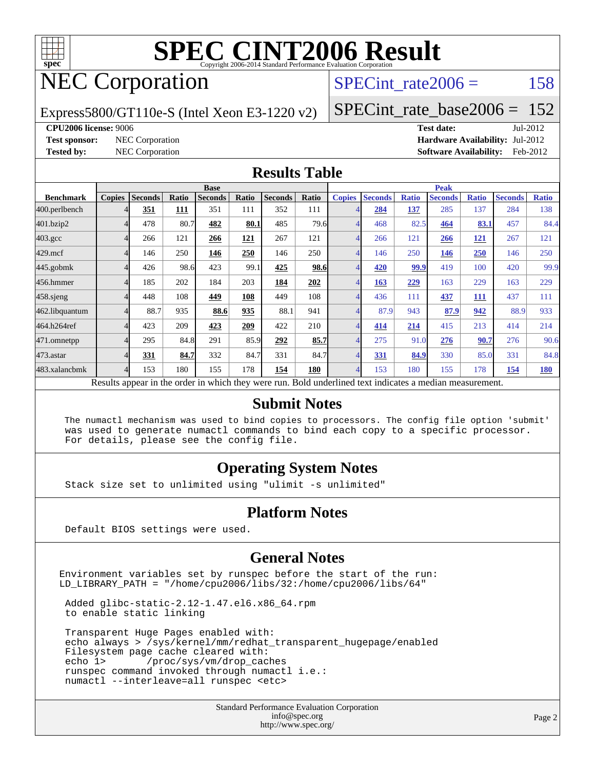

# NEC Corporation

SPECint rate $2006 = 158$ 

Express5800/GT110e-S (Intel Xeon E3-1220 v2)

[SPECint\\_rate\\_base2006 =](http://www.spec.org/auto/cpu2006/Docs/result-fields.html#SPECintratebase2006) 152

**[CPU2006 license:](http://www.spec.org/auto/cpu2006/Docs/result-fields.html#CPU2006license)** 9006 **[Test date:](http://www.spec.org/auto/cpu2006/Docs/result-fields.html#Testdate)** Jul-2012

**[Test sponsor:](http://www.spec.org/auto/cpu2006/Docs/result-fields.html#Testsponsor)** NEC Corporation **[Hardware Availability:](http://www.spec.org/auto/cpu2006/Docs/result-fields.html#HardwareAvailability)** Jul-2012 **[Tested by:](http://www.spec.org/auto/cpu2006/Docs/result-fields.html#Testedby)** NEC Corporation **[Software Availability:](http://www.spec.org/auto/cpu2006/Docs/result-fields.html#SoftwareAvailability)** Feb-2012

#### **[Results Table](http://www.spec.org/auto/cpu2006/Docs/result-fields.html#ResultsTable)**

|                                                                                                          | <b>Base</b>   |                |       |                |            |                |       | <b>Peak</b>   |                |              |                |              |                |              |  |
|----------------------------------------------------------------------------------------------------------|---------------|----------------|-------|----------------|------------|----------------|-------|---------------|----------------|--------------|----------------|--------------|----------------|--------------|--|
| <b>Benchmark</b>                                                                                         | <b>Copies</b> | <b>Seconds</b> | Ratio | <b>Seconds</b> | Ratio      | <b>Seconds</b> | Ratio | <b>Copies</b> | <b>Seconds</b> | <b>Ratio</b> | <b>Seconds</b> | <b>Ratio</b> | <b>Seconds</b> | <b>Ratio</b> |  |
| 400.perlbench                                                                                            |               | 351            | 111   | 351            | 111        | 352            | 111   |               | 284            | 137          | 285            | 137          | 284            | 138          |  |
| 401.bzip2                                                                                                |               | 478            | 80.7  | 482            | 80.1       | 485            | 79.6  |               | 468            | 82.5         | 464            | 83.1         | 457            | 84.4         |  |
| $403.\text{gcc}$                                                                                         |               | 266            | 121   | 266            | <u>121</u> | 267            | 121   | 4             | 266            | 121          | 266            | <u>121</u>   | 267            | 121          |  |
| $429$ .mcf                                                                                               |               | 146            | 250   | 146            | 250        | 146            | 250   |               | 146            | 250          | 146            | 250          | 146            | 250          |  |
| $445$ .gobmk                                                                                             |               | 426            | 98.6  | 423            | 99.1       | 425            | 98.6  |               | 420            | 99.9         | 419            | 100          | 420            | 99.9         |  |
| 456.hmmer                                                                                                |               | 185            | 202   | 184            | 203        | 184            | 202   |               | 163            | 229          | 163            | 229          | 163            | 229          |  |
| $458$ .sjeng                                                                                             |               | 448            | 108   | 449            | 108        | 449            | 108   |               | 436            | 111          | 437            | 111          | 437            | 111          |  |
| 462.libquantum                                                                                           |               | 88.7           | 935   | 88.6           | 935        | 88.1           | 941   |               | 87.9           | 943          | 87.9           | 942          | 88.9           | 933          |  |
| 464.h264ref                                                                                              |               | 423            | 209   | 423            | 209        | 422            | 210   |               | 414            | 214          | 415            | 213          | 414            | 214          |  |
| 471.omnetpp                                                                                              |               | 295            | 84.8  | 291            | 85.9       | 292            | 85.7  | 4             | 275            | 91.0         | 276            | 90.7         | 276            | 90.6         |  |
| 473.astar                                                                                                |               | 331            | 84.7  | 332            | 84.7       | 331            | 84.7  | 4             | 331            | 84.9         | 330            | 85.0         | 331            | 84.8         |  |
| 483.xalancbmk                                                                                            |               | 153            | 180   | 155            | 178        | 154            | 180   |               | 153            | 180          | 155            | 178          | 154            | <b>180</b>   |  |
| Results appear in the order in which they were run. Bold underlined text indicates a median measurement. |               |                |       |                |            |                |       |               |                |              |                |              |                |              |  |

#### **[Submit Notes](http://www.spec.org/auto/cpu2006/Docs/result-fields.html#SubmitNotes)**

 The numactl mechanism was used to bind copies to processors. The config file option 'submit' was used to generate numactl commands to bind each copy to a specific processor. For details, please see the config file.

#### **[Operating System Notes](http://www.spec.org/auto/cpu2006/Docs/result-fields.html#OperatingSystemNotes)**

Stack size set to unlimited using "ulimit -s unlimited"

#### **[Platform Notes](http://www.spec.org/auto/cpu2006/Docs/result-fields.html#PlatformNotes)**

Default BIOS settings were used.

#### **[General Notes](http://www.spec.org/auto/cpu2006/Docs/result-fields.html#GeneralNotes)**

Environment variables set by runspec before the start of the run: LD\_LIBRARY\_PATH = "/home/cpu2006/libs/32:/home/cpu2006/libs/64"

 Added glibc-static-2.12-1.47.el6.x86\_64.rpm to enable static linking

 Transparent Huge Pages enabled with: echo always > /sys/kernel/mm/redhat\_transparent\_hugepage/enabled Filesystem page cache cleared with:<br>echo 1> /proc/sys/vm/drop\_cac /proc/sys/vm/drop\_caches runspec command invoked through numactl i.e.: numactl --interleave=all runspec <etc>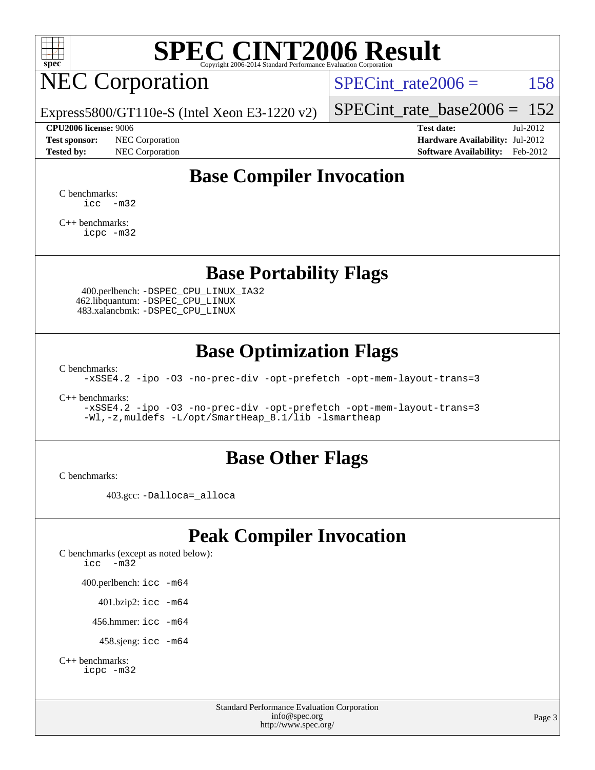

# NEC Corporation

SPECint rate $2006 = 158$ 

Express5800/GT110e-S (Intel Xeon E3-1220 v2)

#### **[CPU2006 license:](http://www.spec.org/auto/cpu2006/Docs/result-fields.html#CPU2006license)** 9006 **[Test date:](http://www.spec.org/auto/cpu2006/Docs/result-fields.html#Testdate)** Jul-2012

**[Test sponsor:](http://www.spec.org/auto/cpu2006/Docs/result-fields.html#Testsponsor)** NEC Corporation **[Hardware Availability:](http://www.spec.org/auto/cpu2006/Docs/result-fields.html#HardwareAvailability)** Jul-2012

[SPECint\\_rate\\_base2006 =](http://www.spec.org/auto/cpu2006/Docs/result-fields.html#SPECintratebase2006) 152

**[Tested by:](http://www.spec.org/auto/cpu2006/Docs/result-fields.html#Testedby)** NEC Corporation **[Software Availability:](http://www.spec.org/auto/cpu2006/Docs/result-fields.html#SoftwareAvailability)** Feb-2012

### **[Base Compiler Invocation](http://www.spec.org/auto/cpu2006/Docs/result-fields.html#BaseCompilerInvocation)**

[C benchmarks](http://www.spec.org/auto/cpu2006/Docs/result-fields.html#Cbenchmarks):  $\text{icc}$   $-\text{m32}$ 

[C++ benchmarks:](http://www.spec.org/auto/cpu2006/Docs/result-fields.html#CXXbenchmarks) [icpc -m32](http://www.spec.org/cpu2006/results/res2012q3/cpu2006-20120713-23671.flags.html#user_CXXbase_intel_icpc_4e5a5ef1a53fd332b3c49e69c3330699)

#### **[Base Portability Flags](http://www.spec.org/auto/cpu2006/Docs/result-fields.html#BasePortabilityFlags)**

 400.perlbench: [-DSPEC\\_CPU\\_LINUX\\_IA32](http://www.spec.org/cpu2006/results/res2012q3/cpu2006-20120713-23671.flags.html#b400.perlbench_baseCPORTABILITY_DSPEC_CPU_LINUX_IA32) 462.libquantum: [-DSPEC\\_CPU\\_LINUX](http://www.spec.org/cpu2006/results/res2012q3/cpu2006-20120713-23671.flags.html#b462.libquantum_baseCPORTABILITY_DSPEC_CPU_LINUX) 483.xalancbmk: [-DSPEC\\_CPU\\_LINUX](http://www.spec.org/cpu2006/results/res2012q3/cpu2006-20120713-23671.flags.html#b483.xalancbmk_baseCXXPORTABILITY_DSPEC_CPU_LINUX)

### **[Base Optimization Flags](http://www.spec.org/auto/cpu2006/Docs/result-fields.html#BaseOptimizationFlags)**

[C benchmarks](http://www.spec.org/auto/cpu2006/Docs/result-fields.html#Cbenchmarks):

[-xSSE4.2](http://www.spec.org/cpu2006/results/res2012q3/cpu2006-20120713-23671.flags.html#user_CCbase_f-xSSE42_f91528193cf0b216347adb8b939d4107) [-ipo](http://www.spec.org/cpu2006/results/res2012q3/cpu2006-20120713-23671.flags.html#user_CCbase_f-ipo) [-O3](http://www.spec.org/cpu2006/results/res2012q3/cpu2006-20120713-23671.flags.html#user_CCbase_f-O3) [-no-prec-div](http://www.spec.org/cpu2006/results/res2012q3/cpu2006-20120713-23671.flags.html#user_CCbase_f-no-prec-div) [-opt-prefetch](http://www.spec.org/cpu2006/results/res2012q3/cpu2006-20120713-23671.flags.html#user_CCbase_f-opt-prefetch) [-opt-mem-layout-trans=3](http://www.spec.org/cpu2006/results/res2012q3/cpu2006-20120713-23671.flags.html#user_CCbase_f-opt-mem-layout-trans_a7b82ad4bd7abf52556d4961a2ae94d5)

[C++ benchmarks:](http://www.spec.org/auto/cpu2006/Docs/result-fields.html#CXXbenchmarks)

[-xSSE4.2](http://www.spec.org/cpu2006/results/res2012q3/cpu2006-20120713-23671.flags.html#user_CXXbase_f-xSSE42_f91528193cf0b216347adb8b939d4107) [-ipo](http://www.spec.org/cpu2006/results/res2012q3/cpu2006-20120713-23671.flags.html#user_CXXbase_f-ipo) [-O3](http://www.spec.org/cpu2006/results/res2012q3/cpu2006-20120713-23671.flags.html#user_CXXbase_f-O3) [-no-prec-div](http://www.spec.org/cpu2006/results/res2012q3/cpu2006-20120713-23671.flags.html#user_CXXbase_f-no-prec-div) [-opt-prefetch](http://www.spec.org/cpu2006/results/res2012q3/cpu2006-20120713-23671.flags.html#user_CXXbase_f-opt-prefetch) [-opt-mem-layout-trans=3](http://www.spec.org/cpu2006/results/res2012q3/cpu2006-20120713-23671.flags.html#user_CXXbase_f-opt-mem-layout-trans_a7b82ad4bd7abf52556d4961a2ae94d5) [-Wl,-z,muldefs](http://www.spec.org/cpu2006/results/res2012q3/cpu2006-20120713-23671.flags.html#user_CXXbase_link_force_multiple1_74079c344b956b9658436fd1b6dd3a8a) [-L/opt/SmartHeap\\_8.1/lib -lsmartheap](http://www.spec.org/cpu2006/results/res2012q3/cpu2006-20120713-23671.flags.html#user_CXXbase_SmartHeap_d5ba4dfc9de25d3c657c7de7476e66c5)

#### **[Base Other Flags](http://www.spec.org/auto/cpu2006/Docs/result-fields.html#BaseOtherFlags)**

[C benchmarks](http://www.spec.org/auto/cpu2006/Docs/result-fields.html#Cbenchmarks):

403.gcc: [-Dalloca=\\_alloca](http://www.spec.org/cpu2006/results/res2012q3/cpu2006-20120713-23671.flags.html#b403.gcc_baseEXTRA_CFLAGS_Dalloca_be3056838c12de2578596ca5467af7f3)

### **[Peak Compiler Invocation](http://www.spec.org/auto/cpu2006/Docs/result-fields.html#PeakCompilerInvocation)**

[C benchmarks \(except as noted below\)](http://www.spec.org/auto/cpu2006/Docs/result-fields.html#Cbenchmarksexceptasnotedbelow): [icc -m32](http://www.spec.org/cpu2006/results/res2012q3/cpu2006-20120713-23671.flags.html#user_CCpeak_intel_icc_5ff4a39e364c98233615fdd38438c6f2) 400.perlbench: [icc -m64](http://www.spec.org/cpu2006/results/res2012q3/cpu2006-20120713-23671.flags.html#user_peakCCLD400_perlbench_intel_icc_64bit_bda6cc9af1fdbb0edc3795bac97ada53) 401.bzip2: [icc -m64](http://www.spec.org/cpu2006/results/res2012q3/cpu2006-20120713-23671.flags.html#user_peakCCLD401_bzip2_intel_icc_64bit_bda6cc9af1fdbb0edc3795bac97ada53)

456.hmmer: [icc -m64](http://www.spec.org/cpu2006/results/res2012q3/cpu2006-20120713-23671.flags.html#user_peakCCLD456_hmmer_intel_icc_64bit_bda6cc9af1fdbb0edc3795bac97ada53)

458.sjeng: [icc -m64](http://www.spec.org/cpu2006/results/res2012q3/cpu2006-20120713-23671.flags.html#user_peakCCLD458_sjeng_intel_icc_64bit_bda6cc9af1fdbb0edc3795bac97ada53)

```
C++ benchmarks: 
icpc -m32
```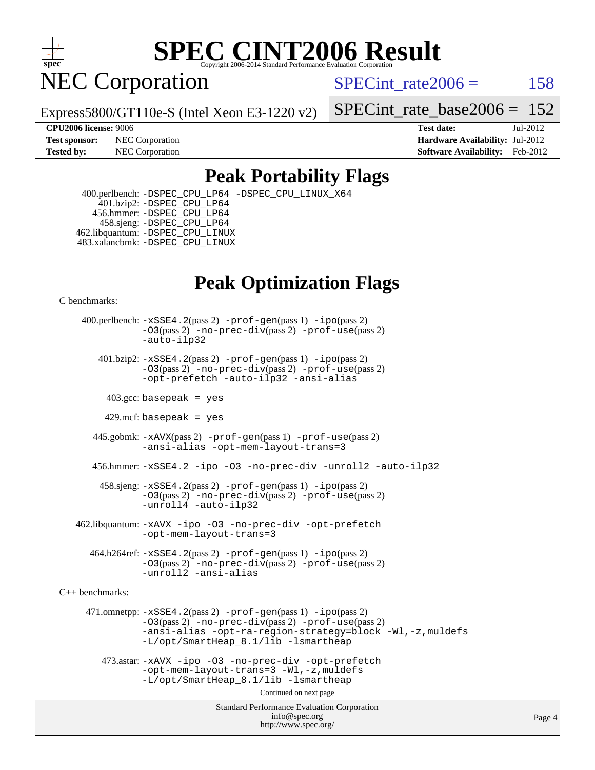

NEC Corporation

SPECint rate $2006 = 158$ 

Express5800/GT110e-S (Intel Xeon E3-1220 v2)

[SPECint\\_rate\\_base2006 =](http://www.spec.org/auto/cpu2006/Docs/result-fields.html#SPECintratebase2006) 152

**[CPU2006 license:](http://www.spec.org/auto/cpu2006/Docs/result-fields.html#CPU2006license)** 9006 **[Test date:](http://www.spec.org/auto/cpu2006/Docs/result-fields.html#Testdate)** Jul-2012 **[Test sponsor:](http://www.spec.org/auto/cpu2006/Docs/result-fields.html#Testsponsor)** NEC Corporation **[Hardware Availability:](http://www.spec.org/auto/cpu2006/Docs/result-fields.html#HardwareAvailability)** Jul-2012 **[Tested by:](http://www.spec.org/auto/cpu2006/Docs/result-fields.html#Testedby)** NEC Corporation **[Software Availability:](http://www.spec.org/auto/cpu2006/Docs/result-fields.html#SoftwareAvailability)** Feb-2012

### **[Peak Portability Flags](http://www.spec.org/auto/cpu2006/Docs/result-fields.html#PeakPortabilityFlags)**

 400.perlbench: [-DSPEC\\_CPU\\_LP64](http://www.spec.org/cpu2006/results/res2012q3/cpu2006-20120713-23671.flags.html#b400.perlbench_peakCPORTABILITY_DSPEC_CPU_LP64) [-DSPEC\\_CPU\\_LINUX\\_X64](http://www.spec.org/cpu2006/results/res2012q3/cpu2006-20120713-23671.flags.html#b400.perlbench_peakCPORTABILITY_DSPEC_CPU_LINUX_X64) 401.bzip2: [-DSPEC\\_CPU\\_LP64](http://www.spec.org/cpu2006/results/res2012q3/cpu2006-20120713-23671.flags.html#suite_peakCPORTABILITY401_bzip2_DSPEC_CPU_LP64) 456.hmmer: [-DSPEC\\_CPU\\_LP64](http://www.spec.org/cpu2006/results/res2012q3/cpu2006-20120713-23671.flags.html#suite_peakCPORTABILITY456_hmmer_DSPEC_CPU_LP64) 458.sjeng: [-DSPEC\\_CPU\\_LP64](http://www.spec.org/cpu2006/results/res2012q3/cpu2006-20120713-23671.flags.html#suite_peakCPORTABILITY458_sjeng_DSPEC_CPU_LP64) 462.libquantum: [-DSPEC\\_CPU\\_LINUX](http://www.spec.org/cpu2006/results/res2012q3/cpu2006-20120713-23671.flags.html#b462.libquantum_peakCPORTABILITY_DSPEC_CPU_LINUX) 483.xalancbmk: [-DSPEC\\_CPU\\_LINUX](http://www.spec.org/cpu2006/results/res2012q3/cpu2006-20120713-23671.flags.html#b483.xalancbmk_peakCXXPORTABILITY_DSPEC_CPU_LINUX)

## **[Peak Optimization Flags](http://www.spec.org/auto/cpu2006/Docs/result-fields.html#PeakOptimizationFlags)**

[C benchmarks](http://www.spec.org/auto/cpu2006/Docs/result-fields.html#Cbenchmarks):

 400.perlbench: [-xSSE4.2](http://www.spec.org/cpu2006/results/res2012q3/cpu2006-20120713-23671.flags.html#user_peakPASS2_CFLAGSPASS2_LDCFLAGS400_perlbench_f-xSSE42_f91528193cf0b216347adb8b939d4107)(pass 2) [-prof-gen](http://www.spec.org/cpu2006/results/res2012q3/cpu2006-20120713-23671.flags.html#user_peakPASS1_CFLAGSPASS1_LDCFLAGS400_perlbench_prof_gen_e43856698f6ca7b7e442dfd80e94a8fc)(pass 1) [-ipo](http://www.spec.org/cpu2006/results/res2012q3/cpu2006-20120713-23671.flags.html#user_peakPASS2_CFLAGSPASS2_LDCFLAGS400_perlbench_f-ipo)(pass 2) [-O3](http://www.spec.org/cpu2006/results/res2012q3/cpu2006-20120713-23671.flags.html#user_peakPASS2_CFLAGSPASS2_LDCFLAGS400_perlbench_f-O3)(pass 2) [-no-prec-div](http://www.spec.org/cpu2006/results/res2012q3/cpu2006-20120713-23671.flags.html#user_peakPASS2_CFLAGSPASS2_LDCFLAGS400_perlbench_f-no-prec-div)(pass 2) [-prof-use](http://www.spec.org/cpu2006/results/res2012q3/cpu2006-20120713-23671.flags.html#user_peakPASS2_CFLAGSPASS2_LDCFLAGS400_perlbench_prof_use_bccf7792157ff70d64e32fe3e1250b55)(pass 2) [-auto-ilp32](http://www.spec.org/cpu2006/results/res2012q3/cpu2006-20120713-23671.flags.html#user_peakCOPTIMIZE400_perlbench_f-auto-ilp32) 401.bzip2: [-xSSE4.2](http://www.spec.org/cpu2006/results/res2012q3/cpu2006-20120713-23671.flags.html#user_peakPASS2_CFLAGSPASS2_LDCFLAGS401_bzip2_f-xSSE42_f91528193cf0b216347adb8b939d4107)(pass 2) [-prof-gen](http://www.spec.org/cpu2006/results/res2012q3/cpu2006-20120713-23671.flags.html#user_peakPASS1_CFLAGSPASS1_LDCFLAGS401_bzip2_prof_gen_e43856698f6ca7b7e442dfd80e94a8fc)(pass 1) [-ipo](http://www.spec.org/cpu2006/results/res2012q3/cpu2006-20120713-23671.flags.html#user_peakPASS2_CFLAGSPASS2_LDCFLAGS401_bzip2_f-ipo)(pass 2) [-O3](http://www.spec.org/cpu2006/results/res2012q3/cpu2006-20120713-23671.flags.html#user_peakPASS2_CFLAGSPASS2_LDCFLAGS401_bzip2_f-O3)(pass 2) [-no-prec-div](http://www.spec.org/cpu2006/results/res2012q3/cpu2006-20120713-23671.flags.html#user_peakPASS2_CFLAGSPASS2_LDCFLAGS401_bzip2_f-no-prec-div)(pass 2) [-prof-use](http://www.spec.org/cpu2006/results/res2012q3/cpu2006-20120713-23671.flags.html#user_peakPASS2_CFLAGSPASS2_LDCFLAGS401_bzip2_prof_use_bccf7792157ff70d64e32fe3e1250b55)(pass 2) [-opt-prefetch](http://www.spec.org/cpu2006/results/res2012q3/cpu2006-20120713-23671.flags.html#user_peakCOPTIMIZE401_bzip2_f-opt-prefetch) [-auto-ilp32](http://www.spec.org/cpu2006/results/res2012q3/cpu2006-20120713-23671.flags.html#user_peakCOPTIMIZE401_bzip2_f-auto-ilp32) [-ansi-alias](http://www.spec.org/cpu2006/results/res2012q3/cpu2006-20120713-23671.flags.html#user_peakCOPTIMIZE401_bzip2_f-ansi-alias)  $403.\text{sec: basepeak}$  = yes 429.mcf: basepeak = yes 445.gobmk: [-xAVX](http://www.spec.org/cpu2006/results/res2012q3/cpu2006-20120713-23671.flags.html#user_peakPASS2_CFLAGSPASS2_LDCFLAGS445_gobmk_f-xAVX)(pass 2) [-prof-gen](http://www.spec.org/cpu2006/results/res2012q3/cpu2006-20120713-23671.flags.html#user_peakPASS1_CFLAGSPASS1_LDCFLAGS445_gobmk_prof_gen_e43856698f6ca7b7e442dfd80e94a8fc)(pass 1) [-prof-use](http://www.spec.org/cpu2006/results/res2012q3/cpu2006-20120713-23671.flags.html#user_peakPASS2_CFLAGSPASS2_LDCFLAGS445_gobmk_prof_use_bccf7792157ff70d64e32fe3e1250b55)(pass 2) [-ansi-alias](http://www.spec.org/cpu2006/results/res2012q3/cpu2006-20120713-23671.flags.html#user_peakCOPTIMIZE445_gobmk_f-ansi-alias) [-opt-mem-layout-trans=3](http://www.spec.org/cpu2006/results/res2012q3/cpu2006-20120713-23671.flags.html#user_peakCOPTIMIZE445_gobmk_f-opt-mem-layout-trans_a7b82ad4bd7abf52556d4961a2ae94d5) 456.hmmer: [-xSSE4.2](http://www.spec.org/cpu2006/results/res2012q3/cpu2006-20120713-23671.flags.html#user_peakCOPTIMIZE456_hmmer_f-xSSE42_f91528193cf0b216347adb8b939d4107) [-ipo](http://www.spec.org/cpu2006/results/res2012q3/cpu2006-20120713-23671.flags.html#user_peakCOPTIMIZE456_hmmer_f-ipo) [-O3](http://www.spec.org/cpu2006/results/res2012q3/cpu2006-20120713-23671.flags.html#user_peakCOPTIMIZE456_hmmer_f-O3) [-no-prec-div](http://www.spec.org/cpu2006/results/res2012q3/cpu2006-20120713-23671.flags.html#user_peakCOPTIMIZE456_hmmer_f-no-prec-div) [-unroll2](http://www.spec.org/cpu2006/results/res2012q3/cpu2006-20120713-23671.flags.html#user_peakCOPTIMIZE456_hmmer_f-unroll_784dae83bebfb236979b41d2422d7ec2) [-auto-ilp32](http://www.spec.org/cpu2006/results/res2012q3/cpu2006-20120713-23671.flags.html#user_peakCOPTIMIZE456_hmmer_f-auto-ilp32) 458.sjeng: [-xSSE4.2](http://www.spec.org/cpu2006/results/res2012q3/cpu2006-20120713-23671.flags.html#user_peakPASS2_CFLAGSPASS2_LDCFLAGS458_sjeng_f-xSSE42_f91528193cf0b216347adb8b939d4107)(pass 2) [-prof-gen](http://www.spec.org/cpu2006/results/res2012q3/cpu2006-20120713-23671.flags.html#user_peakPASS1_CFLAGSPASS1_LDCFLAGS458_sjeng_prof_gen_e43856698f6ca7b7e442dfd80e94a8fc)(pass 1) [-ipo](http://www.spec.org/cpu2006/results/res2012q3/cpu2006-20120713-23671.flags.html#user_peakPASS2_CFLAGSPASS2_LDCFLAGS458_sjeng_f-ipo)(pass 2) [-O3](http://www.spec.org/cpu2006/results/res2012q3/cpu2006-20120713-23671.flags.html#user_peakPASS2_CFLAGSPASS2_LDCFLAGS458_sjeng_f-O3)(pass 2) [-no-prec-div](http://www.spec.org/cpu2006/results/res2012q3/cpu2006-20120713-23671.flags.html#user_peakPASS2_CFLAGSPASS2_LDCFLAGS458_sjeng_f-no-prec-div)(pass 2) [-prof-use](http://www.spec.org/cpu2006/results/res2012q3/cpu2006-20120713-23671.flags.html#user_peakPASS2_CFLAGSPASS2_LDCFLAGS458_sjeng_prof_use_bccf7792157ff70d64e32fe3e1250b55)(pass 2) [-unroll4](http://www.spec.org/cpu2006/results/res2012q3/cpu2006-20120713-23671.flags.html#user_peakCOPTIMIZE458_sjeng_f-unroll_4e5e4ed65b7fd20bdcd365bec371b81f) [-auto-ilp32](http://www.spec.org/cpu2006/results/res2012q3/cpu2006-20120713-23671.flags.html#user_peakCOPTIMIZE458_sjeng_f-auto-ilp32) 462.libquantum: [-xAVX](http://www.spec.org/cpu2006/results/res2012q3/cpu2006-20120713-23671.flags.html#user_peakCOPTIMIZE462_libquantum_f-xAVX) [-ipo](http://www.spec.org/cpu2006/results/res2012q3/cpu2006-20120713-23671.flags.html#user_peakCOPTIMIZE462_libquantum_f-ipo) [-O3](http://www.spec.org/cpu2006/results/res2012q3/cpu2006-20120713-23671.flags.html#user_peakCOPTIMIZE462_libquantum_f-O3) [-no-prec-div](http://www.spec.org/cpu2006/results/res2012q3/cpu2006-20120713-23671.flags.html#user_peakCOPTIMIZE462_libquantum_f-no-prec-div) [-opt-prefetch](http://www.spec.org/cpu2006/results/res2012q3/cpu2006-20120713-23671.flags.html#user_peakCOPTIMIZE462_libquantum_f-opt-prefetch) [-opt-mem-layout-trans=3](http://www.spec.org/cpu2006/results/res2012q3/cpu2006-20120713-23671.flags.html#user_peakCOPTIMIZE462_libquantum_f-opt-mem-layout-trans_a7b82ad4bd7abf52556d4961a2ae94d5) 464.h264ref: [-xSSE4.2](http://www.spec.org/cpu2006/results/res2012q3/cpu2006-20120713-23671.flags.html#user_peakPASS2_CFLAGSPASS2_LDCFLAGS464_h264ref_f-xSSE42_f91528193cf0b216347adb8b939d4107)(pass 2) [-prof-gen](http://www.spec.org/cpu2006/results/res2012q3/cpu2006-20120713-23671.flags.html#user_peakPASS1_CFLAGSPASS1_LDCFLAGS464_h264ref_prof_gen_e43856698f6ca7b7e442dfd80e94a8fc)(pass 1) [-ipo](http://www.spec.org/cpu2006/results/res2012q3/cpu2006-20120713-23671.flags.html#user_peakPASS2_CFLAGSPASS2_LDCFLAGS464_h264ref_f-ipo)(pass 2) [-O3](http://www.spec.org/cpu2006/results/res2012q3/cpu2006-20120713-23671.flags.html#user_peakPASS2_CFLAGSPASS2_LDCFLAGS464_h264ref_f-O3)(pass 2) [-no-prec-div](http://www.spec.org/cpu2006/results/res2012q3/cpu2006-20120713-23671.flags.html#user_peakPASS2_CFLAGSPASS2_LDCFLAGS464_h264ref_f-no-prec-div)(pass 2) [-prof-use](http://www.spec.org/cpu2006/results/res2012q3/cpu2006-20120713-23671.flags.html#user_peakPASS2_CFLAGSPASS2_LDCFLAGS464_h264ref_prof_use_bccf7792157ff70d64e32fe3e1250b55)(pass 2) [-unroll2](http://www.spec.org/cpu2006/results/res2012q3/cpu2006-20120713-23671.flags.html#user_peakCOPTIMIZE464_h264ref_f-unroll_784dae83bebfb236979b41d2422d7ec2) [-ansi-alias](http://www.spec.org/cpu2006/results/res2012q3/cpu2006-20120713-23671.flags.html#user_peakCOPTIMIZE464_h264ref_f-ansi-alias) [C++ benchmarks:](http://www.spec.org/auto/cpu2006/Docs/result-fields.html#CXXbenchmarks) 471.omnetpp: [-xSSE4.2](http://www.spec.org/cpu2006/results/res2012q3/cpu2006-20120713-23671.flags.html#user_peakPASS2_CXXFLAGSPASS2_LDCXXFLAGS471_omnetpp_f-xSSE42_f91528193cf0b216347adb8b939d4107)(pass 2) [-prof-gen](http://www.spec.org/cpu2006/results/res2012q3/cpu2006-20120713-23671.flags.html#user_peakPASS1_CXXFLAGSPASS1_LDCXXFLAGS471_omnetpp_prof_gen_e43856698f6ca7b7e442dfd80e94a8fc)(pass 1) [-ipo](http://www.spec.org/cpu2006/results/res2012q3/cpu2006-20120713-23671.flags.html#user_peakPASS2_CXXFLAGSPASS2_LDCXXFLAGS471_omnetpp_f-ipo)(pass 2) [-O3](http://www.spec.org/cpu2006/results/res2012q3/cpu2006-20120713-23671.flags.html#user_peakPASS2_CXXFLAGSPASS2_LDCXXFLAGS471_omnetpp_f-O3)(pass 2) [-no-prec-div](http://www.spec.org/cpu2006/results/res2012q3/cpu2006-20120713-23671.flags.html#user_peakPASS2_CXXFLAGSPASS2_LDCXXFLAGS471_omnetpp_f-no-prec-div)(pass 2) [-prof-use](http://www.spec.org/cpu2006/results/res2012q3/cpu2006-20120713-23671.flags.html#user_peakPASS2_CXXFLAGSPASS2_LDCXXFLAGS471_omnetpp_prof_use_bccf7792157ff70d64e32fe3e1250b55)(pass 2) [-ansi-alias](http://www.spec.org/cpu2006/results/res2012q3/cpu2006-20120713-23671.flags.html#user_peakCXXOPTIMIZE471_omnetpp_f-ansi-alias) [-opt-ra-region-strategy=block](http://www.spec.org/cpu2006/results/res2012q3/cpu2006-20120713-23671.flags.html#user_peakCXXOPTIMIZE471_omnetpp_f-opt-ra-region-strategy_a0a37c372d03933b2a18d4af463c1f69) [-Wl,-z,muldefs](http://www.spec.org/cpu2006/results/res2012q3/cpu2006-20120713-23671.flags.html#user_peakEXTRA_LDFLAGS471_omnetpp_link_force_multiple1_74079c344b956b9658436fd1b6dd3a8a) [-L/opt/SmartHeap\\_8.1/lib -lsmartheap](http://www.spec.org/cpu2006/results/res2012q3/cpu2006-20120713-23671.flags.html#user_peakEXTRA_LIBS471_omnetpp_SmartHeap_d5ba4dfc9de25d3c657c7de7476e66c5)

 473.astar: [-xAVX](http://www.spec.org/cpu2006/results/res2012q3/cpu2006-20120713-23671.flags.html#user_peakCXXOPTIMIZE473_astar_f-xAVX) [-ipo](http://www.spec.org/cpu2006/results/res2012q3/cpu2006-20120713-23671.flags.html#user_peakCXXOPTIMIZE473_astar_f-ipo) [-O3](http://www.spec.org/cpu2006/results/res2012q3/cpu2006-20120713-23671.flags.html#user_peakCXXOPTIMIZE473_astar_f-O3) [-no-prec-div](http://www.spec.org/cpu2006/results/res2012q3/cpu2006-20120713-23671.flags.html#user_peakCXXOPTIMIZE473_astar_f-no-prec-div) [-opt-prefetch](http://www.spec.org/cpu2006/results/res2012q3/cpu2006-20120713-23671.flags.html#user_peakCXXOPTIMIZE473_astar_f-opt-prefetch) [-opt-mem-layout-trans=3](http://www.spec.org/cpu2006/results/res2012q3/cpu2006-20120713-23671.flags.html#user_peakCXXOPTIMIZE473_astar_f-opt-mem-layout-trans_a7b82ad4bd7abf52556d4961a2ae94d5) [-Wl,-z,muldefs](http://www.spec.org/cpu2006/results/res2012q3/cpu2006-20120713-23671.flags.html#user_peakEXTRA_LDFLAGS473_astar_link_force_multiple1_74079c344b956b9658436fd1b6dd3a8a) [-L/opt/SmartHeap\\_8.1/lib -lsmartheap](http://www.spec.org/cpu2006/results/res2012q3/cpu2006-20120713-23671.flags.html#user_peakEXTRA_LIBS473_astar_SmartHeap_d5ba4dfc9de25d3c657c7de7476e66c5)

Continued on next page